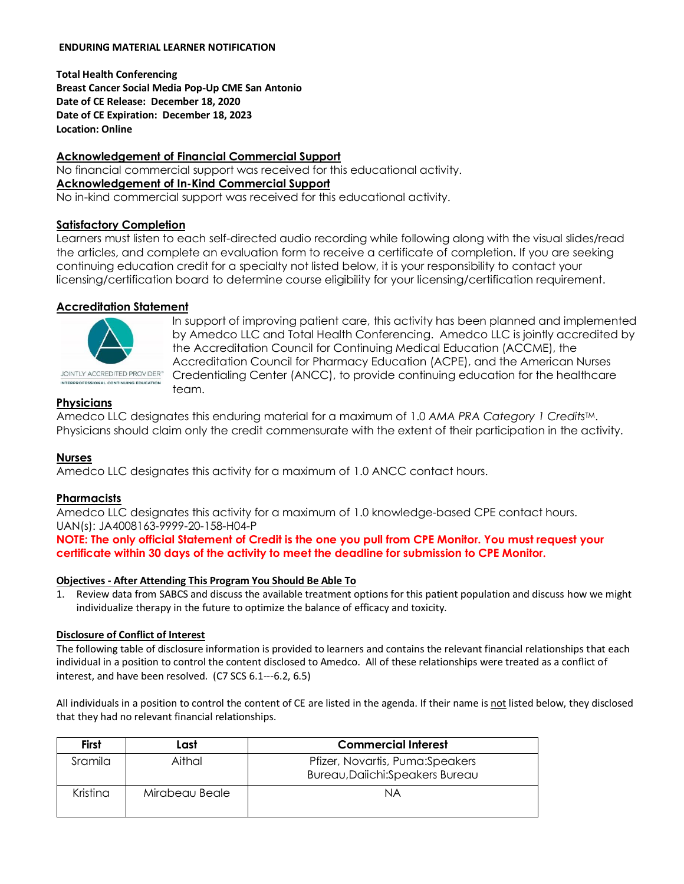#### **ENDURING MATERIAL LEARNER NOTIFICATION**

**Total Health Conferencing Breast Cancer Social Media Pop-Up CME San Antonio Date of CE Release: December 18, 2020 Date of CE Expiration: December 18, 2023 Location: Online**

## **Acknowledgement of Financial Commercial Support**

No financial commercial support was received for this educational activity. **Acknowledgement of In-Kind Commercial Support** No in-kind commercial support was received for this educational activity.

## **Satisfactory Completion**

Learners must listen to each self-directed audio recording while following along with the visual slides/read the articles, and complete an evaluation form to receive a certificate of completion. If you are seeking continuing education credit for a specialty not listed below, it is your responsibility to contact your licensing/certification board to determine course eligibility for your licensing/certification requirement.

## **Accreditation Statement**



INTERPROFESSIONAL CONTINUING EDUCATION

In support of improving patient care, this activity has been planned and implemented by Amedco LLC and Total Health Conferencing. Amedco LLC is jointly accredited by the Accreditation Council for Continuing Medical Education (ACCME), the Accreditation Council for Pharmacy Education (ACPE), and the American Nurses Credentialing Center (ANCC), to provide continuing education for the healthcare team.

## **Physicians**

Amedco LLC designates this enduring material for a maximum of 1.0 *AMA PRA Category 1 Credits*TM. Physicians should claim only the credit commensurate with the extent of their participation in the activity.

#### **Nurses**

Amedco LLC designates this activity for a maximum of 1.0 ANCC contact hours.

#### **Pharmacists**

Amedco LLC designates this activity for a maximum of 1.0 knowledge-based CPE contact hours. UAN(s): JA4008163-9999-20-158-H04-P

**NOTE: The only official Statement of Credit is the one you pull from CPE Monitor. You must request your certificate within 30 days of the activity to meet the deadline for submission to CPE Monitor.**

#### **Objectives - After Attending This Program You Should Be Able To**

1. Review data from SABCS and discuss the available treatment options for this patient population and discuss how we might individualize therapy in the future to optimize the balance of efficacy and toxicity.

#### **Disclosure of Conflict of Interest**

The following table of disclosure information is provided to learners and contains the relevant financial relationships that each individual in a position to control the content disclosed to Amedco. All of these relationships were treated as a conflict of interest, and have been resolved. (C7 SCS 6.1--‐6.2, 6.5)

All individuals in a position to control the content of CE are listed in the agenda. If their name is not listed below, they disclosed that they had no relevant financial relationships.

| <b>First</b> | Last           | <b>Commercial Interest</b>                                           |
|--------------|----------------|----------------------------------------------------------------------|
| Sramila      | Aithal         | Pfizer, Novartis, Puma: Speakers<br>Bureau, Daiichi: Speakers Bureau |
| Kristina     | Mirabeau Beale | ΝA                                                                   |